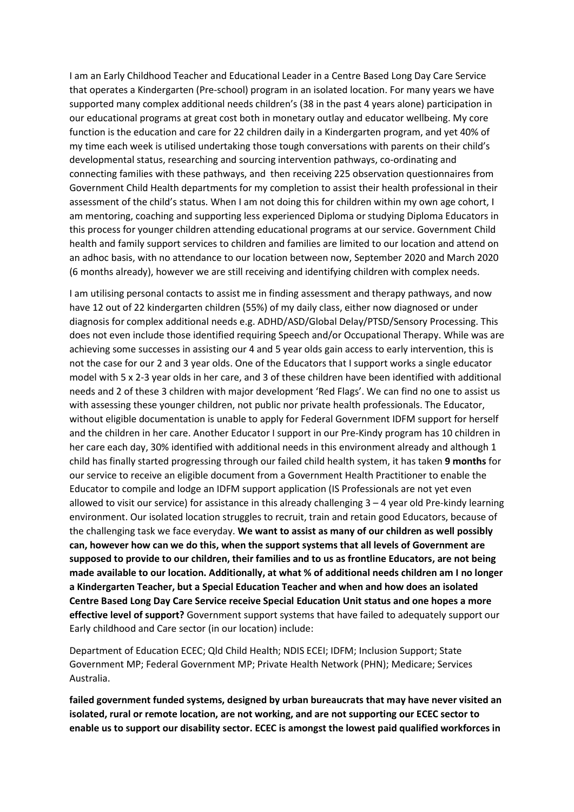I am an Early Childhood Teacher and Educational Leader in a Centre Based Long Day Care Service that operates a Kindergarten (Pre-school) program in an isolated location. For many years we have supported many complex additional needs children's (38 in the past 4 years alone) participation in our educational programs at great cost both in monetary outlay and educator wellbeing. My core function is the education and care for 22 children daily in a Kindergarten program, and yet 40% of my time each week is utilised undertaking those tough conversations with parents on their child's developmental status, researching and sourcing intervention pathways, co-ordinating and connecting families with these pathways, and then receiving 225 observation questionnaires from Government Child Health departments for my completion to assist their health professional in their assessment of the child's status. When I am not doing this for children within my own age cohort, I am mentoring, coaching and supporting less experienced Diploma or studying Diploma Educators in this process for younger children attending educational programs at our service. Government Child health and family support services to children and families are limited to our location and attend on an adhoc basis, with no attendance to our location between now, September 2020 and March 2020 (6 months already), however we are still receiving and identifying children with complex needs.

I am utilising personal contacts to assist me in finding assessment and therapy pathways, and now have 12 out of 22 kindergarten children (55%) of my daily class, either now diagnosed or under diagnosis for complex additional needs e.g. ADHD/ASD/Global Delay/PTSD/Sensory Processing. This does not even include those identified requiring Speech and/or Occupational Therapy. While was are achieving some successes in assisting our 4 and 5 year olds gain access to early intervention, this is not the case for our 2 and 3 year olds. One of the Educators that I support works a single educator model with 5 x 2-3 year olds in her care, and 3 of these children have been identified with additional needs and 2 of these 3 children with major development 'Red Flags'. We can find no one to assist us with assessing these younger children, not public nor private health professionals. The Educator, without eligible documentation is unable to apply for Federal Government IDFM support for herself and the children in her care. Another Educator I support in our Pre-Kindy program has 10 children in her care each day, 30% identified with additional needs in this environment already and although 1 child has finally started progressing through our failed child health system, it has taken 9 months for our service to receive an eligible document from a Government Health Practitioner to enable the Educator to compile and lodge an IDFM support application (IS Professionals are not yet even allowed to visit our service) for assistance in this already challenging 3 – 4 year old Pre-kindy learning environment. Our isolated location struggles to recruit, train and retain good Educators, because of the challenging task we face everyday. We want to assist as many of our children as well possibly can, however how can we do this, when the support systems that all levels of Government are supposed to provide to our children, their families and to us as frontline Educators, are not being made available to our location. Additionally, at what % of additional needs children am I no longer a Kindergarten Teacher, but a Special Education Teacher and when and how does an isolated Centre Based Long Day Care Service receive Special Education Unit status and one hopes a more effective level of support? Government support systems that have failed to adequately support our Early childhood and Care sector (in our location) include:

Department of Education ECEC; Qld Child Health; NDIS ECEI; IDFM; Inclusion Support; State Government MP; Federal Government MP; Private Health Network (PHN); Medicare; Services Australia.

failed government funded systems, designed by urban bureaucrats that may have never visited an isolated, rural or remote location, are not working, and are not supporting our ECEC sector to enable us to support our disability sector. ECEC is amongst the lowest paid qualified workforces in